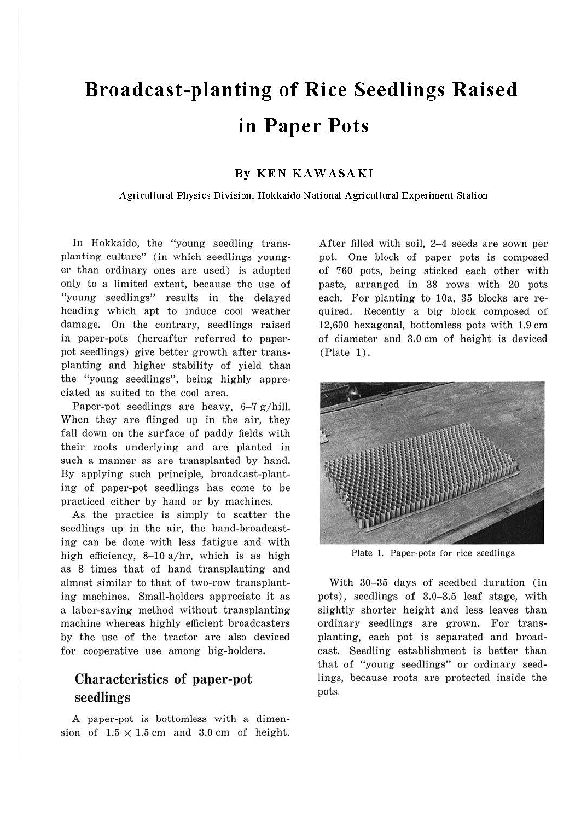# **Broadcast-planting of Rice Seedlings Raised in Paper Pots**

#### **By KEN KAW ASA KI**

#### **Agricultural Physics Division, Hokkaido National Agricultural Experiment Station**

In Hokkaido, the "young seedling transplanting culture" (in which seedlings younger than ordinary ones are used) is adopted only to a limited extent, because the use of "young seedlings" results in the delayed heading which apt to induce cool weather damage. On the contrary, seedlings raised in paper-pots (hereafter referred to paperpot seedlings) give better growth after transplanting and higher stability of yield than the "young seedlings", being highly appreciated as suited to the cool area.

Paper-pot seedlings are heavy, 6-7 g/hill. When they are flinged up in the air, they fall down on the surface of paddy fields with their roots underlying and are planted in such a manner as are transplanted by hand. By applying such principle, broadcast-planting of paper-pot seedlings has come to be practiced either by hand or by machines.

As the practice is simply to scatter the seedlings up in the air, the hand-broadcasting can be done with less fatigue and with high efficiency,  $8-10$  a/hr, which is as high as 8 times that of hand transplanting and almost similar to that of two-row transplanting machines. Small-holders appreciate it as a labor-saving method without transplanting machine whereas highly efficient broadcasters by the use of the tractor are also deviced for cooperative use among big-holders.

## Char acteristics of paper-pot seedlings

A paper-pot is bottomless with a dimension of  $1.5 \times 1.5$  cm and 3.0 cm of height. After filled with soil, 2-4 seeds are sown per pot. One block of paper pots is composed of 760 pots, being sticked each other with paste, arranged in 38 rows with 20 pots each. For planting to 10a, 35 blocks are required. Recently a big block composed of 12,600 hexagonal, bottomless pots with 1.9 cm of diameter and 3.0 cm of height is deviced (Plate 1).



Plate 1. Paper-pots for rice seedlings

With 30-35 days of seedbed duration (in pots), seedlings of 3.0-3.5 leaf stage, with slightly shorter height and less leaves than ordinary seedlings are grown. For transplanting, each pot is separated and broadcast. Seedling establishment is better than that of "young seedlings" or ordinary seedlings, because roots are protected inside the pots.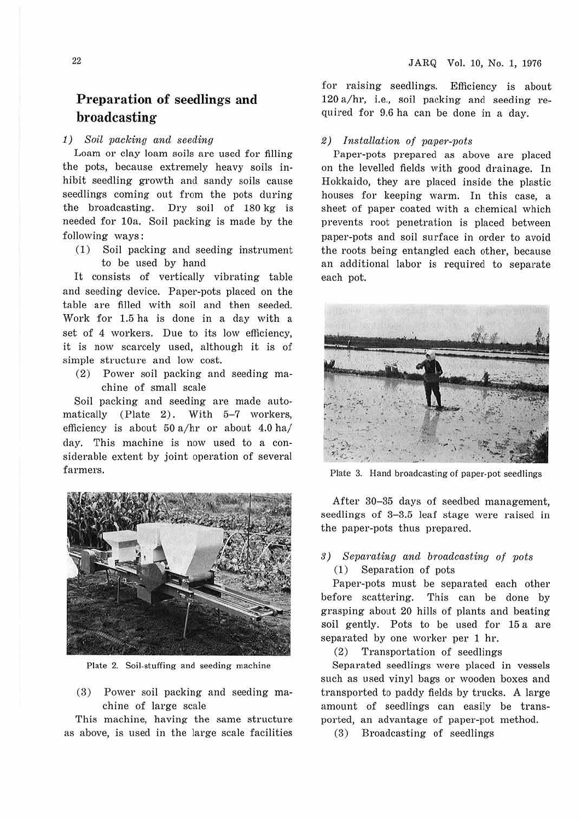## **Preparation of seedlings and broadcasting**

### 1) Soil packing and seeding

Loam or clay loam soils are used for filling the pots, because extremely heavy soils inhibit seedling growth and sandy soils cause seedlings coming out from the pots during the broadcasting. Dry soil of  $180 \text{ kg}$  is needed for 10a. Soil packing is made by the following ways :

(1) Soil packing and seeding instrument to be used by hand

It consists of vertically vibrating table and seeding device. Paper-pots placed on the table are filled with soil and then seeded. Work for 1.5 ha is done in a day with a set of 4 workers. Due to its low efficiency, it is now scarcely used, although it is of simple structure and low cost.

(2) Power soil packing and seeding machine of small scale

Soil packing and seeding are made automatically (Plate 2). With  $5-7$  workers, efficiency is about  $50 a/hr$  or about  $4.0 ha/$ day. This machine is now used to a considerable extent by joint operation of several farmers.



Plate 2. Soil-stuffing and seeding machine

(3) Power soil packing and seeding machine of large scale

This machine, having the same structure as above, is used in the large scale facilities for raising seedlings. Efficiency is about 120 a/hr, i.e., soil packing and seeding required for 9.6 ha can be done in a day.

#### 2) Installation of paper-pots

Paper-pots prepared as above are placed on the levelled fields with good drainage. In Hokkaido, they are placed inside the plastic houses for keeping warm. In this case, a sheet of paper coated with a chemical which prevents root penetration is placed between paper-pots and soil surface in order to avoid the roots being entangled each other, because an additional labor is required to separate each pot.



Plate 3. Hand broadcasting of paper-pot seedlings

After 30-35 days of seedbed management, seedlings of 3-3.5 leaf stage were raised in the paper-pots thus prepared.

# s) Separating and broadcasting of pots

(1) Separation of pots

Paper-pots must be separated each other before scattering. This can be done by grasping about 20 hills of plants and beating soil gently. Pots to be used for 15 a are separated by one worker per 1 hr.

(2) Transportation of seedlings

Separated seedlings were placed in vessels such as used vinyl bags or wooden boxes and transported to paddy fields by trucks. A large amount of seedlings can easily be transported, an advantage of paper-pot method.

(3) Broadcasting of seedlings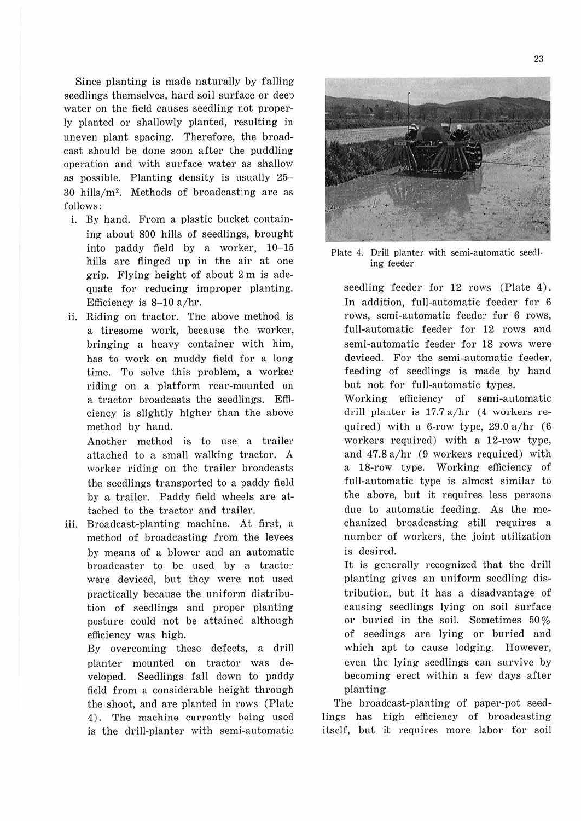Since planting is made naturally by falling seedlings themselves, hard soil surface or deep water on the field causes seedling not properly planted or shallowly planted, resulting in uneven plant spacing. Therefore, the broadcast should be done soon after the puddling operation and with surface water as shallow as possible. Planting density is usually 25-  $30$  hills/ $m^2$ . Methods of broadcasting are as follows :

- i. By hand. From a plastic bucket containing about 800 hills of seedlings, brought into paddy field by a worker, 10-15 hills are flinged up in the air at one grip. Flying height of about 2 m is adequate for reducing improper planting. Efficiency is  $8-10$  a/hr.
- ii. Riding on tractor. The above method is a tiresome work, because the worker, bringing a heavy container with him, has to work on muddy field for a long time. To solve this problem, a worker riding on a platform rear-mounted on a tractor broadcasts the seedlings. Efficiency is slightly higher than the above method by hand.

Another method is to use a trailer attached to a small walking tractor. A worker riding on the trailer broadcasts the seedlings transported to a paddy field by a trailer. Paddy field wheels are attached to the tractor and trailer.

iii. Broadcast-planting machine. At first, a method of broadcasting from the levees by means of a blower and an automatic broadcaster to be used by a tractor were deviced, but they were not used practically because the uniform distribution of seedlings and proper planting posture could not be attained although efficiency was high.

By overcoming these defects, a drill planter mounted on tractor was developed. Seedlings fall down to paddy field from a considerable height through the shoot, and are planted in rows (Plate 4) . The machine currently being used is the drill-planter with semi-automatic



Plate 4. Drill planter with semi-automatic seed]. ing feeder

seedling feeder for 12 rows (Plate 4). In addition, full-automatic feeder for 6 rows, semi-automatic feeder for 6 rows, full-automatic feeder for 12 rows and semi-automatic feeder for 18 rows were deviced. For the semi-automatic feeder, feeding of seedlings is made by hand but not for full-automatic types.

Working efficiency of semi-automatic drill planter is  $17.7 a/hr$  (4 workers required) with a 6-row type,  $29.0$  a/hr  $(6)$ workers required) with a 12-row type, and  $47.8$  a/hr (9 workers required) with a 18-row type. Working efficiency of full-automatic type is almost similar to the above, but it requires less persons due to automatic feeding. As the mechanized broadcasting still requires a number of workers, the joint utilization is desired.

It is generally recognized that the drill planting gives an uniform seedling distribution, but it has a disadvantage of causing seedlings lying on soil surface or buried in the soil. Sometimes 50% of seedings are lying or buried and which apt to cause lodging. However, even the lying seedlings can survive by becoming erect within a few days after planting.

The broadcast-planting of paper-pot seedlings has high efficiency of broadcasting itself, but it requires more labor for soil